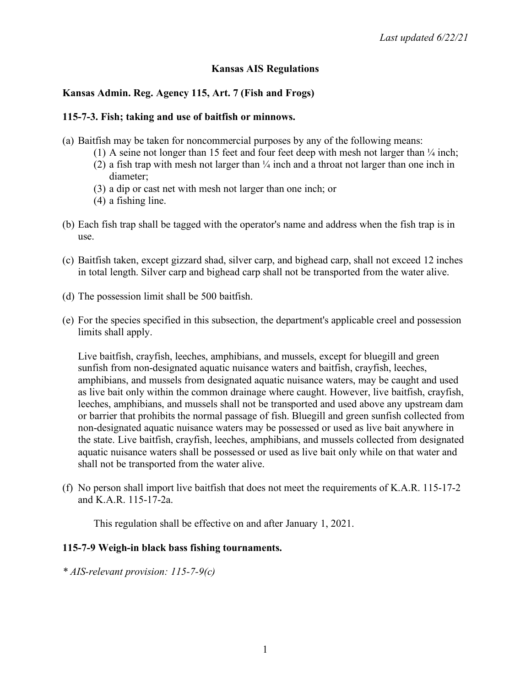## **Kansas AIS Regulations**

## **Kansas Admin. Reg. Agency 115, Art. 7 (Fish and Frogs)**

#### **115-7-3. Fish; taking and use of baitfish or minnows.**

- (a) Baitfish may be taken for noncommercial purposes by any of the following means:
	- (1) A seine not longer than 15 feet and four feet deep with mesh not larger than  $\frac{1}{4}$  inch;
	- (2) a fish trap with mesh not larger than ¼ inch and a throat not larger than one inch in diameter;
	- (3) a dip or cast net with mesh not larger than one inch; or
	- (4) a fishing line.
- (b) Each fish trap shall be tagged with the operator's name and address when the fish trap is in use.
- (c) Baitfish taken, except gizzard shad, silver carp, and bighead carp, shall not exceed 12 inches in total length. Silver carp and bighead carp shall not be transported from the water alive.
- (d) The possession limit shall be 500 baitfish.
- (e) For the species specified in this subsection, the department's applicable creel and possession limits shall apply.

Live baitfish, crayfish, leeches, amphibians, and mussels, except for bluegill and green sunfish from non-designated aquatic nuisance waters and baitfish, crayfish, leeches, amphibians, and mussels from designated aquatic nuisance waters, may be caught and used as live bait only within the common drainage where caught. However, live baitfish, crayfish, leeches, amphibians, and mussels shall not be transported and used above any upstream dam or barrier that prohibits the normal passage of fish. Bluegill and green sunfish collected from non-designated aquatic nuisance waters may be possessed or used as live bait anywhere in the state. Live baitfish, crayfish, leeches, amphibians, and mussels collected from designated aquatic nuisance waters shall be possessed or used as live bait only while on that water and shall not be transported from the water alive.

(f) No person shall import live baitfish that does not meet the requirements of K.A.R. 115-17-2 and K.A.R. 115-17-2a.

This regulation shall be effective on and after January 1, 2021.

#### **115-7-9 Weigh-in black bass fishing tournaments.**

*\* AIS-relevant provision: 115-7-9(c)*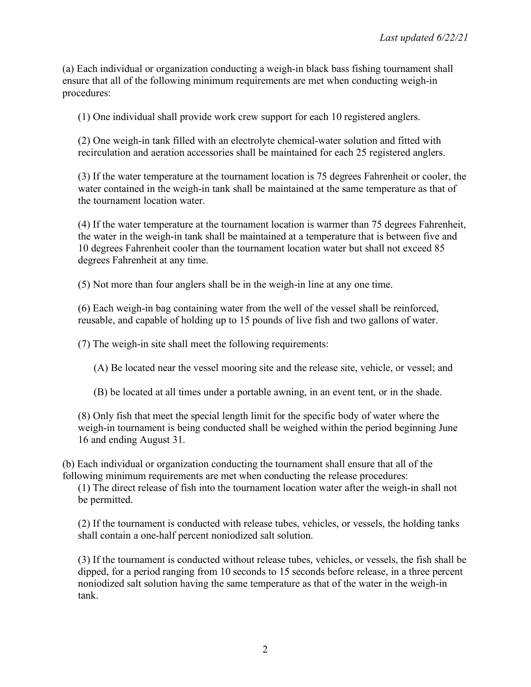(a) Each individual or organization conducting a weigh-in black bass fishing tournament shall ensure that all of the following minimum requirements are met when conducting weigh-in procedures:

(1) One individual shall provide work crew support for each 10 registered anglers.

(2) One weigh-in tank filled with an electrolyte chemical-water solution and fitted with recirculation and aeration accessories shall be maintained for each 25 registered anglers.

(3) If the water temperature at the tournament location is 75 degrees Fahrenheit or cooler, the water contained in the weigh-in tank shall be maintained at the same temperature as that of the tournament location water.

(4) If the water temperature at the tournament location is warmer than 75 degrees Fahrenheit, the water in the weigh-in tank shall be maintained at a temperature that is between five and 10 degrees Fahrenheit cooler than the tournament location water but shall not exceed 85 degrees Fahrenheit at any time.

(5) Not more than four anglers shall be in the weigh-in line at any one time.

(6) Each weigh-in bag containing water from the well of the vessel shall be reinforced, reusable, and capable of holding up to 15 pounds of live fish and two gallons of water.

(7) The weigh-in site shall meet the following requirements:

(A) Be located near the vessel mooring site and the release site, vehicle, or vessel; and

(B) be located at all times under a portable awning, in an event tent, or in the shade.

(8) Only fish that meet the special length limit for the specific body of water where the weigh-in tournament is being conducted shall be weighed within the period beginning June 16 and ending August 31.

(b) Each individual or organization conducting the tournament shall ensure that all of the following minimum requirements are met when conducting the release procedures:

(1) The direct release of fish into the tournament location water after the weigh-in shall not be permitted.

(2) If the tournament is conducted with release tubes, vehicles, or vessels, the holding tanks shall contain a one-half percent noniodized salt solution.

(3) If the tournament is conducted without release tubes, vehicles, or vessels, the fish shall be dipped, for a period ranging from 10 seconds to 15 seconds before release, in a three percent noniodized salt solution having the same temperature as that of the water in the weigh-in tank.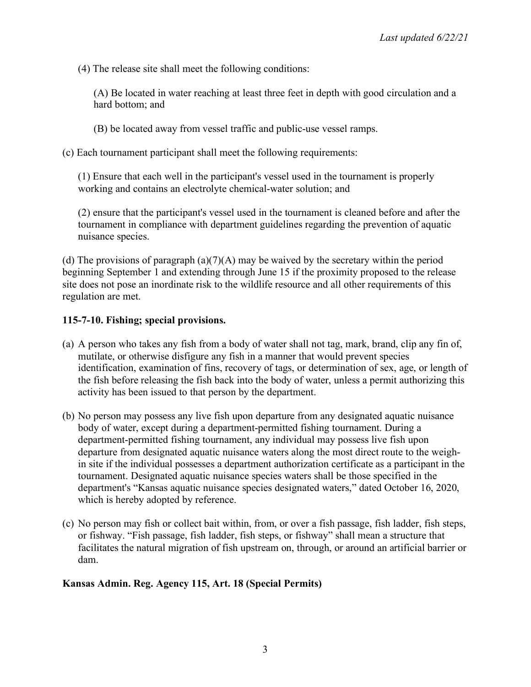(4) The release site shall meet the following conditions:

(A) Be located in water reaching at least three feet in depth with good circulation and a hard bottom; and

(B) be located away from vessel traffic and public-use vessel ramps.

(c) Each tournament participant shall meet the following requirements:

(1) Ensure that each well in the participant's vessel used in the tournament is properly working and contains an electrolyte chemical-water solution; and

(2) ensure that the participant's vessel used in the tournament is cleaned before and after the tournament in compliance with department guidelines regarding the prevention of aquatic nuisance species.

(d) The provisions of paragraph  $(a)(7)(A)$  may be waived by the secretary within the period beginning September 1 and extending through June 15 if the proximity proposed to the release site does not pose an inordinate risk to the wildlife resource and all other requirements of this regulation are met.

## **115-7-10. Fishing; special provisions.**

- (a) A person who takes any fish from a body of water shall not tag, mark, brand, clip any fin of, mutilate, or otherwise disfigure any fish in a manner that would prevent species identification, examination of fins, recovery of tags, or determination of sex, age, or length of the fish before releasing the fish back into the body of water, unless a permit authorizing this activity has been issued to that person by the department.
- (b) No person may possess any live fish upon departure from any designated aquatic nuisance body of water, except during a department-permitted fishing tournament. During a department-permitted fishing tournament, any individual may possess live fish upon departure from designated aquatic nuisance waters along the most direct route to the weighin site if the individual possesses a department authorization certificate as a participant in the tournament. Designated aquatic nuisance species waters shall be those specified in the department's "Kansas aquatic nuisance species designated waters," dated October 16, 2020, which is hereby adopted by reference.
- (c) No person may fish or collect bait within, from, or over a fish passage, fish ladder, fish steps, or fishway. "Fish passage, fish ladder, fish steps, or fishway" shall mean a structure that facilitates the natural migration of fish upstream on, through, or around an artificial barrier or dam.

# **Kansas Admin. Reg. Agency 115, Art. 18 (Special Permits)**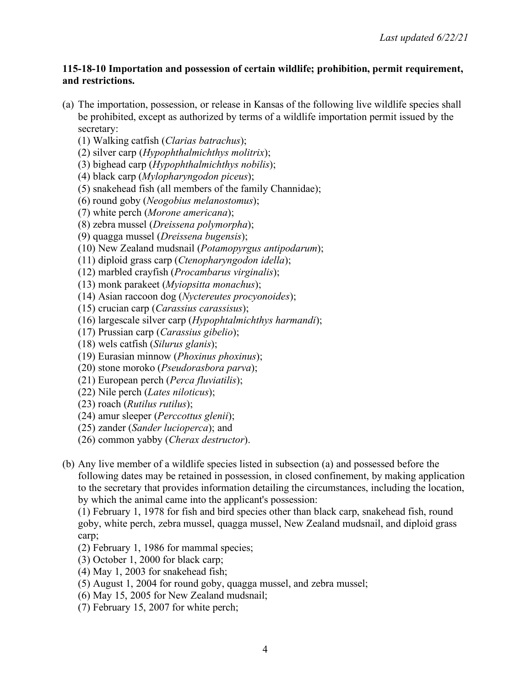### **115-18-10 Importation and possession of certain wildlife; prohibition, permit requirement, and restrictions.**

- (a) The importation, possession, or release in Kansas of the following live wildlife species shall be prohibited, except as authorized by terms of a wildlife importation permit issued by the secretary:
	- (1) Walking catfish (*Clarias batrachus*);
	- (2) silver carp (*Hypophthalmichthys molitrix*);
	- (3) bighead carp (*Hypophthalmichthys nobilis*);
	- (4) black carp (*Mylopharyngodon piceus*);
	- (5) snakehead fish (all members of the family Channidae);
	- (6) round goby (*Neogobius melanostomus*);
	- (7) white perch (*Morone americana*);
	- (8) zebra mussel (*Dreissena polymorpha*);
	- (9) quagga mussel (*Dreissena bugensis*);
	- (10) New Zealand mudsnail (*Potamopyrgus antipodarum*);
	- (11) diploid grass carp (*Ctenopharyngodon idella*);
	- (12) marbled crayfish (*Procambarus virginalis*);
	- (13) monk parakeet (*Myiopsitta monachus*);
	- (14) Asian raccoon dog (*Nyctereutes procyonoides*);
	- (15) crucian carp (*Carassius carassisus*);
	- (16) largescale silver carp (*Hypophtalmichthys harmandi*);
	- (17) Prussian carp (*Carassius gibelio*);
	- (18) wels catfish (*Silurus glanis*);
	- (19) Eurasian minnow (*Phoxinus phoxinus*);
	- (20) stone moroko (*Pseudorasbora parva*);
	- (21) European perch (*Perca fluviatilis*);
	- (22) Nile perch (*Lates niloticus*);
	- (23) roach (*Rutilus rutilus*);
	- (24) amur sleeper (*Perccottus glenii*);
	- (25) zander (*Sander lucioperca*); and
	- (26) common yabby (*Cherax destructor*).
- (b) Any live member of a wildlife species listed in subsection (a) and possessed before the following dates may be retained in possession, in closed confinement, by making application to the secretary that provides information detailing the circumstances, including the location, by which the animal came into the applicant's possession:

(1) February 1, 1978 for fish and bird species other than black carp, snakehead fish, round goby, white perch, zebra mussel, quagga mussel, New Zealand mudsnail, and diploid grass carp;

- (2) February 1, 1986 for mammal species;
- (3) October 1, 2000 for black carp;
- (4) May 1, 2003 for snakehead fish;
- (5) August 1, 2004 for round goby, quagga mussel, and zebra mussel;
- (6) May 15, 2005 for New Zealand mudsnail;
- (7) February 15, 2007 for white perch;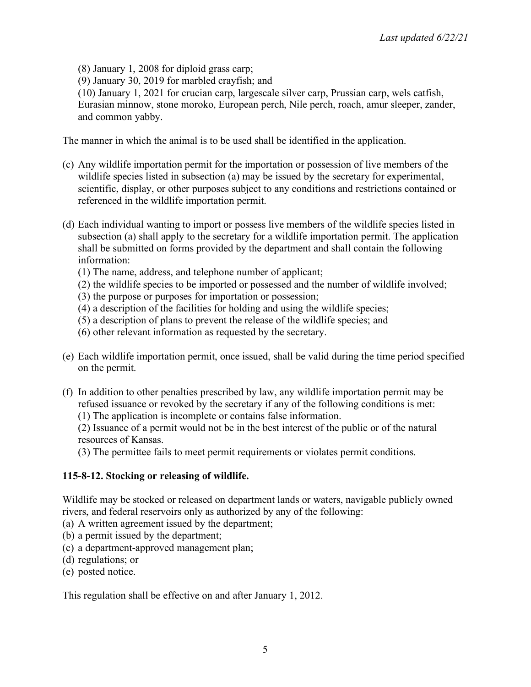(8) January 1, 2008 for diploid grass carp;

(9) January 30, 2019 for marbled crayfish; and

(10) January 1, 2021 for crucian carp, largescale silver carp, Prussian carp, wels catfish, Eurasian minnow, stone moroko, European perch, Nile perch, roach, amur sleeper, zander, and common yabby.

The manner in which the animal is to be used shall be identified in the application.

- (c) Any wildlife importation permit for the importation or possession of live members of the wildlife species listed in subsection (a) may be issued by the secretary for experimental, scientific, display, or other purposes subject to any conditions and restrictions contained or referenced in the wildlife importation permit.
- (d) Each individual wanting to import or possess live members of the wildlife species listed in subsection (a) shall apply to the secretary for a wildlife importation permit. The application shall be submitted on forms provided by the department and shall contain the following information:
	- (1) The name, address, and telephone number of applicant;
	- (2) the wildlife species to be imported or possessed and the number of wildlife involved;
	- (3) the purpose or purposes for importation or possession;
	- (4) a description of the facilities for holding and using the wildlife species;
	- (5) a description of plans to prevent the release of the wildlife species; and
	- (6) other relevant information as requested by the secretary.
- (e) Each wildlife importation permit, once issued, shall be valid during the time period specified on the permit.
- (f) In addition to other penalties prescribed by law, any wildlife importation permit may be refused issuance or revoked by the secretary if any of the following conditions is met:
	- (1) The application is incomplete or contains false information.

(2) Issuance of a permit would not be in the best interest of the public or of the natural resources of Kansas.

(3) The permittee fails to meet permit requirements or violates permit conditions.

# **115-8-12. Stocking or releasing of wildlife.**

Wildlife may be stocked or released on department lands or waters, navigable publicly owned rivers, and federal reservoirs only as authorized by any of the following:

- (a) A written agreement issued by the department;
- (b) a permit issued by the department;
- (c) a department-approved management plan;
- (d) regulations; or
- (e) posted notice.

This regulation shall be effective on and after January 1, 2012.